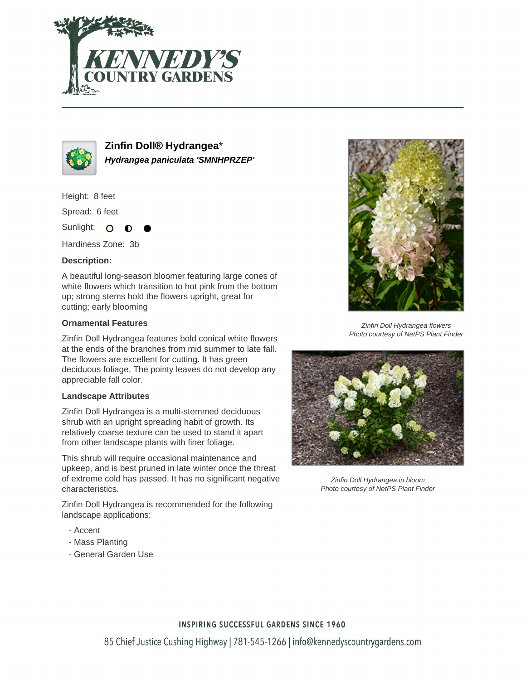



**Zinfin Doll® Hydrangea**\* **Hydrangea paniculata 'SMNHPRZEP'**

Height: 8 feet

Spread: 6 feet

Sunlight: O

Hardiness Zone: 3b

## **Description:**

A beautiful long-season bloomer featuring large cones of white flowers which transition to hot pink from the bottom up; strong stems hold the flowers upright, great for cutting; early blooming

## **Ornamental Features**

Zinfin Doll Hydrangea features bold conical white flowers at the ends of the branches from mid summer to late fall. The flowers are excellent for cutting. It has green deciduous foliage. The pointy leaves do not develop any appreciable fall color.

#### **Landscape Attributes**

Zinfin Doll Hydrangea is a multi-stemmed deciduous shrub with an upright spreading habit of growth. Its relatively coarse texture can be used to stand it apart from other landscape plants with finer foliage.

This shrub will require occasional maintenance and upkeep, and is best pruned in late winter once the threat of extreme cold has passed. It has no significant negative characteristics.

Zinfin Doll Hydrangea is recommended for the following landscape applications;

- Accent
- Mass Planting
- General Garden Use



Zinfin Doll Hydrangea flowers Photo courtesy of NetPS Plant Finder



Zinfin Doll Hydrangea in bloom Photo courtesy of NetPS Plant Finder

## **INSPIRING SUCCESSFUL GARDENS SINCE 1960**